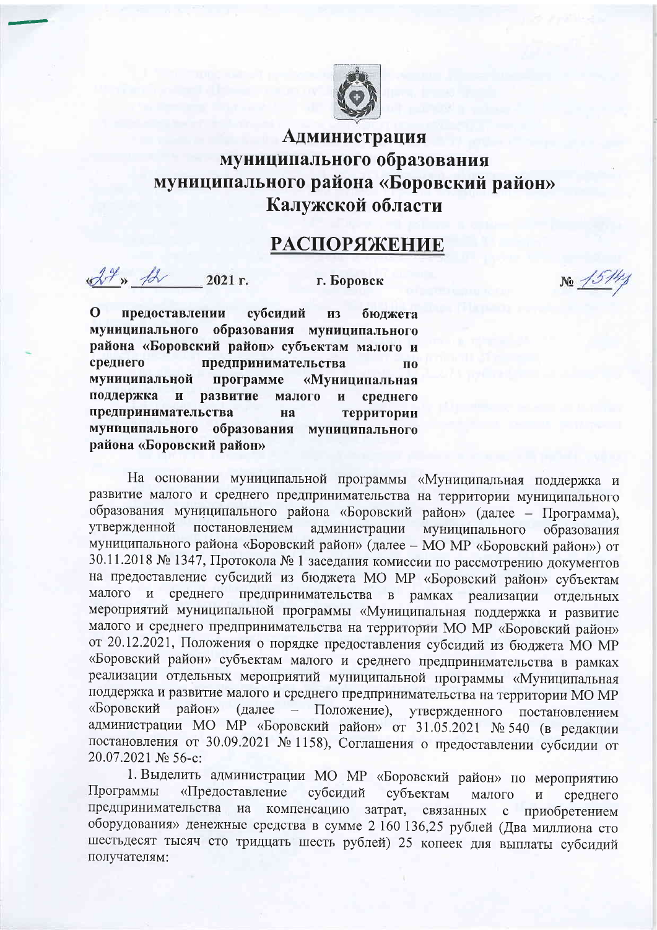

## Администрация муниципального образования муниципального района «Боровский район» Калужской области

## **РАСПОРЯЖЕНИЕ**

 $\mathcal{A}^{\mathcal{X}}$  »  $\mathcal{A}$ 2021 г.

г. Боровск

 $\Omega$ субсидий предоставлении **ИЗ** бюлжета муниципального образования муниципального района «Боровский район» субъектам малого и среднего предпринимательства  $\mathbf{u}$ муниципальной программе «Муниципальная поддержка  $\overline{M}$ развитие малого  $\overline{\mathbf{H}}$ среднего предпринимательства на территории муниципального образования муниципального района «Боровский район»

На основании муниципальной программы «Муниципальная поддержка и развитие малого и среднего предпринимательства на территории муниципального образования муниципального района «Боровский район» (далее - Программа), утвержденной постановлением администрации муниципального образования муниципального района «Боровский район» (далее - МО МР «Боровский район») от 30.11.2018 № 1347, Протокола № 1 заседания комиссии по рассмотрению документов на предоставление субсидий из бюджета МО MP «Боровский район» субъектам малого среднего предпринимательства в рамках реализации  $\mathbf{M}$ отдельных мероприятий муниципальной программы «Муниципальная поддержка и развитие малого и среднего предпринимательства на территории МО МР «Боровский район» от 20.12.2021, Положения о порядке предоставления субсидий из бюджета МО МР «Боровский район» субъектам малого и среднего предпринимательства в рамках реализации отдельных мероприятий муниципальной программы «Муниципальная поддержка и развитие малого и среднего предпринимательства на территории МО МР «Боровский район» (далее – Положение), утвержденного постановлением администрации МО МР «Боровский район» от 31.05.2021 № 540 (в редакции постановления от 30.09.2021 № 1158), Соглашения о предоставлении субсидии от 20.07.2021 № 56-с:

1. Выделить администрации МО MP «Боровский район» по мероприятию Программы «Предоставление субсидий субъектам малого И среднего предпринимательства на компенсацию затрат, связанных с приобретением оборудования» денежные средства в сумме 2 160 136,25 рублей (Два миллиона сто шестьдесят тысяч сто тридцать шесть рублей) 25 копеек для выплаты субсидий получателям:

 $N_2 \frac{15/4}{4}$